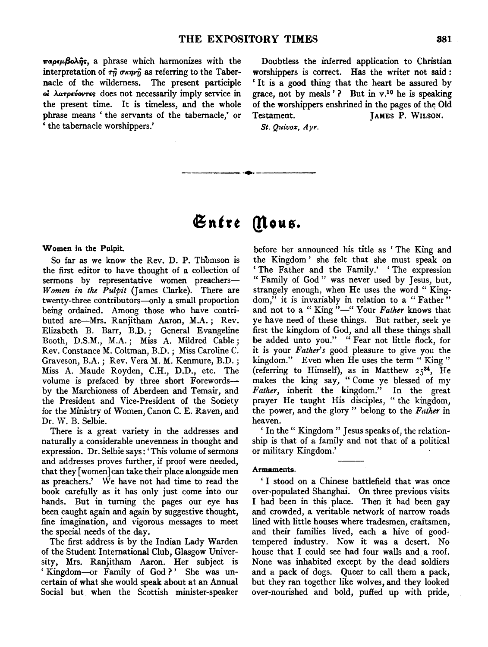$\pi a \rho \epsilon \mu \beta \omega \hat{\eta} s$ , a phrase which harmonizes with the interpretation of  $\tau_{ij}$   $\sigma \kappa \eta \nu_{ij}$  as referring to the Tabernacle of the wilderness. The present participle ol λατρεύοντες does not necessarily imply service in the present time. It is timeless, and the whole phrase means 'the servants of the tabernacle,' or ' the tabernacle worshippers.'

Doubtless the inferred application to Christian worshippers is correct. Has the writer not said : 'It is a good thing that the heart be assured by grace, not by meals'? But in v.10 he is speaking of the worshippers enshrined in the pages of the Old Testament. JAMES P. WILSON.

St. Quivox, Ayr.

# $\mathfrak{E}$ ntre *(Mous.*

-----·•·

## Women in the Pulpit.

So far as we know the Rev. D. P. Thomson is the first editor to have thought of a collection of sermons by representative women preachers-*W omen in the Pulpit* (James Clarke). There are twenty-three contributors-only a small proportion being ordained. Among those who have contributed are-Mrs. Ranjitham Aaron, M.A.; Rev. Elizabeth B. Barr, B.D.; General Evangeline Booth, D.S.M., M.A.; Miss A. Mildred Cable; Rev. Constance M. Coltman, B.D.; Miss Caroline C. Graveson, B.A.; Rev. Vera M. M. Kenmure, B.D.; Miss A. Maude Royden, C.H., D.D., etc. The volume is prefaced by three short Forewordsby the Marchioness of Aberdeen and Temair, and the President and Vice-President of the Society for the Ministry of Women, Canon C. E. Raven, and Dr. W. B. Selbie.

There is a great variety in the addresses and naturally a considerable unevenness in thought and expression. Dr. Selbie says: 'This volume of sermons and addresses proves further, if proof were needed, that they [women] can take their place alongside men as preachers.' We have not had time to read the book carefully as it has only just come into our hands. But in turning the pages our eye has been caught again and again by suggestive thought, fine imagination, and vigorous messages to meet the special needs of the day.

The first address is by the Indian Lady Warden of the Student International Club, Glasgow University, Mrs. Ranjitham Aaron. Her subject is 'Kingdom-or Family of God?' She was uncertain of what she would speak about at an Annual Social but. when the Scottish minister-speaker

before her announced his title as ' The King and the Kingdom ' she felt that she must speak on 'The Father and the Family.' 'The expression " Family of God " was never used by Jesus, but, strangely enough, when He uses the word " Kingdom," it is invariably in relation to a "Father" and not to a "King"-" Your Father knows that ye have need of these things. But rather, seek ye first the kingdom of God, and all these things shall be added unto you.'' " Fear not little flock, for it is your *Father's* good pleasure to give you the kingdom." Even when He uses the term " King " (referring to Himself), as in Matthew  $25^{34}$ , He makes the king say, "Come ye blessed of my *Father,* inherit the kingdom.'' In the great prayer He taught His disciples, " the kingdom, the power, and the. glory" belong to the *Father* in heaven.

' In the " Kingdom " Jesus speaks of, the relationship is that of a family and not that of a political or military Kingdom.'

#### Armaments.

' I stood on a Chinese battlefield that was once over-populated Shanghai. On three previous visits I had been in this place. Then it had been gay and crowded, a veritable network of narrow roads lined with little houses where tradesmen, craftsmen, and their families lived, each a hive of goodtempered industry. Now it was a desert. No house that I could see had four walls and a roof. None was inhabited except by the dead soldiers and a pack of dogs. Queer to call them a pack, but they ran together like wolves, and they looked over-nourished and bold, puffed up with pride,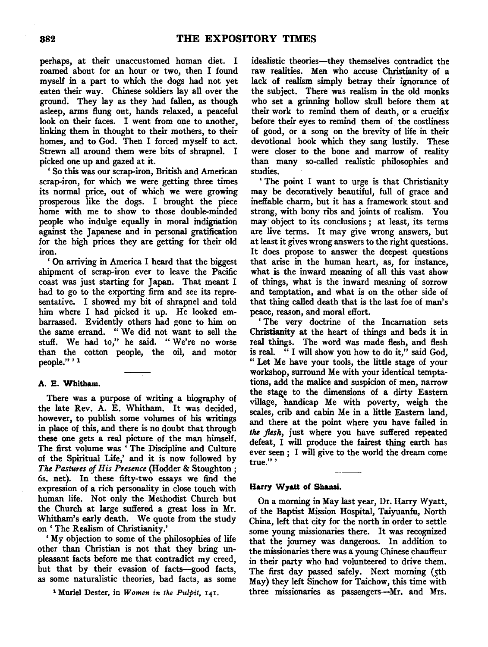perhaps, at their unaccustomed human diet. I roamed about for an hour or two, then I found myself in a part to which the dogs had not yet eaten their way. Chinese soldiers lay all over the ground: They lay as they had fallen, as though asleep, arms flung out, hands relaxed, a peaceful look on their faces. I went from one to another, linking them in thought to their mothers, to their homes, and to God. Then I forced myself to act. Strewn all around them were bits of shrapnel. I picked one up and gazed at it.

' So this was our scrap-iron, British and American scrap-iron, for which we were getting three times its normal price, out of which we were growing prosperous like the dogs. I brought the piece home with me to show to those double-minded people who indulge equally in moral indignation against the Japanese and in personal gratification for the high prices they are getting for their old iron.

' On arriving in America I heard that the biggest shipment of scrap-iron ever to leave the Pacific coast was just starting for Japan. That meant I had to go to the exporting firm and see its representative. I showed my bit of shrapnel and told him where I had picked it up. He looked embarrassed. Evidently others had gone to him on the same errand. " We did not want to sell the stuff. We had to," he said. "We're no worse than the cotton people, the oil, and motor people." ' <sup>1</sup>

# A. E. Whitham.

There was a purpose of writing a biography of the late Rev. A. E. Whitham. It was decided, however, to publish some volumes of his writings in place of this, and there is no doubt that through these one gets a real picture of the man himself. The first volume was ' The Discipline and Culture of the Spiritual Life,' and it is now followed by *The Pastures of His Presence* (Hodder & Stoughton; 6s. net). In these fifty-two essays we find the expression of a rich personality in close touch with human life. Not only the Methodist Church but the Church at large suffered a great loss in Mr. Whitbam's early death. We quote from the study on ' The Realism of Christianity.'

'My objection to some of the philosophies of life other than Christian is not that they bring unpleasant facts before me that contradict my creed, but that by their evasion of facts-good facts, as some naturalistic theories, bad facts, as some

1 Muriel Dester, in *Women in the Pulpit,* 141.

idealistic theories-they themselves contradict the raw realities. Men who accuse Christianity of a lack of realism simply betray their ignorance of the subject. There was realism in the old monks who set a grinning hollow skull before them at their work to remind them of death, or a crucifix before their eyes to remind them of the costliness of good, or a song on the brevity of life in their devotional book which they sang lustily. These were closer to the bone and marrow of reality than many so-called realistic philosophies and studies.

' The point I want to urge is that Christianity may be decoratively beautiful, full of grace and ineffable charm, but it has a framework stout and strong, with bony ribs and joints of realism. You may object to its conclusions ; at least, its terms are live terms. It may give wrong answers, but at least it gives wrong answers to the right questions. It does propose to answer the deepest questions that arise in the human heart, as, for instance, what is the inward meaning of all this vast show of things, what is the inward meaning of sorrow and temptation, and what is on the other side of that thing called death that is the last foe of man's peace, reason, and moral effort.

' The very doctrine of the Incarnation sets Christianity at the heart of things and beds it in real things. The word was made flesh, and flesh is real. " I will show you how to do it," said God, " Let Me have your tools, the little stage of your workshop, surround Me with your identical temptations, add the malice and suspicion of men, narrow the stage to the dimensions of a dirty Eastern village, handicap Me with poverty, weigh the scales, crib and cabin Me in a little Eastern land, and there at the point where you have failed in *the flesh,* just where you have suffered repeated defeat, I will produce the fairest thing earth has ever seen ; I will give to the world the dream come true." '

# Harry W7att of Shansi.

On a morning in May last year, Dr. Harry Wyatt, of the Baptist Mission Hospital, Taiyuanfu, North China, left that city for the north in order to settle some young missionaries there. It was recognized that the journey was dangerous. In addition to the missionaries there was a young Chinese chauffeur in their party who had volunteered to drive them. The first day passed safely. Next morning (5th May) they left Sinchow for Taichow, this time with three missionaries as passengers-Mr. and Mrs.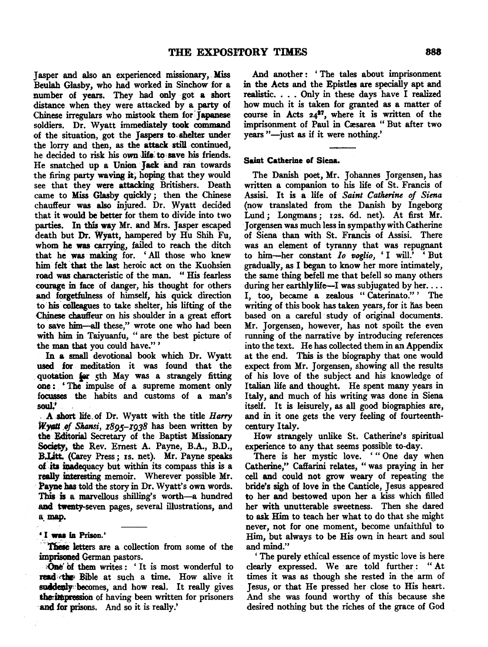Jasper and also an experienced missionary, . Miss Beulah Glasby, who had worked in Sinchow for a number of years. They had only got a short distance when they were attacked by a party of Chinese irregulars who mistook them for:Japanese soldiers. Dr. Wyatt immediately took command of the situation, got the Jaspers to.shelter under the lorry and then, as the attack still. continued, he decided to risk his own life to save his friends. He snatched up a Union Jack and ran towards the firing party waving it, hoping that they would see that they were attacking Britishers. Death came to Miss Glasby quickly ; then the Chinese chauffeur was also injured. Dr. Wyatt decided that it would be better for them to divide into two parties. In this way Mr. and Mrs. Jasper escaped death but Dr. Wyatt, hampered by Hu Shih Fu, whom he was carrying, failed to reach the ditch that he was making for. 'All those who knew him felt that the last heroic act on the Kuohsien road was characteristic of the man. " His fearless courage in face of danger, his thought for others and forgetfulness of himself, his quick direction to his c0lleagues to take shelter, his lifting of the Chinese chauffeur on his shoulder in a great effort to save him-all these," wrote one who had been with him in Taiyuanfu, " are the best picture of the man that you could have." '

In a small devotional book which Dr. Wyatt used for meditation it was found that the quotation for 5th May was a strangely fitting one: 'The impulse of a supreme moment only focusses the habits and customs of a man's ~· . A abort life. of Dr. Wyatt with the title *Harry* 

Wyatt of *Shansi*, 1895-1938 has been written by the Editorial Secretary of the Baptist Missionary Society, the Rev. Ernest A. Payne, B.A., B.D., B.Litt. (Carey Press; 1s. net). Mr. Payne speaks of its inadequacy but within its compass this is a really interesting memoir. Wherever possible Mr. Payne has told the story in Dr. Wyatt's own words. This is a marvellous shilling's worth-a hundred and twenty-seven pages, several illustrations, and a.map.

## ' I was la Prison.'

These letters are a collection from some of the imprisoned German pastors.

:One' Of them writes: 'It is most wonderful to read the Bible at such a time. How alive it suddenly becomes, and how real. It really gives the impression of having been written for prisoners and for prisons. And so it is really.'

And another : ' The tales about imprisonment in the Acts and the Epistles are specially apt and realistic. , . . Only in these days have I realized how much it is taken for granted as a matter of course in Acts  $24^{27}$ , where it is written of the imprisonment of Paul in Cæsarea " But after two years "-just as if it were nothing."

## Saint Catherine of Siena.

The Danish poet, Mr. Johannes Jorgensen, has written a companion to his life of St. Francis of Assisi. It is a life of *Saint Catherine of Siena*  (now translated from the Danish by Ingeborg Lund; Longmans; 12s. 6d. net). At first Mr. ·Jorgensen was much less in sympathy with Catherine of Siena than with St. Francis of Assisi. There was an element of tyranny that was repugnant to him-her constant *Io voglio*, 'I will.' 'But gradually, as I began to know her more intimately, the same thing befell me that befell so many others during her earthly life-I was subjugated by her.... I, too, became a zealous " Caterinato." ' The writing of this book has taken years, for it has been based on a careful study of original documents. Mr. Jorgensen, however, has not spoilt the even running of the narrative by introducing references into the text. He has collected them in an Appendix at the end. This is the biography that one would expect from Mr. Jorgensen, showing all the results of his love of the subject and his knowledge of Italian life and thought. He spent many years in Italy, and much of his writing was done in Siena itself. It is leisurely, as all good biographies are, and in it one gets the very feeling of fourteenthcentury Italy.

How strangely unlike St. Catherine's spiritual experience to any that seems possible to-day.

There is her mystic love. '" One day when Catherine," Caffarini relates, " was praying in her cell and could not grow weary of repeating the bride's sigh of love in the Canticle, Jesus appeared to her and bestowed upon her a kiss which filled her with unutterable sweetness. Then she dared to ask Him to teach her what to do that she might never, not for one moment, become unfaithful to Him, but always to be His own in heart and soul and mind.''

' The purely ethical essence of mystic love is here clearly expressed. We are told further: "At times it was as though she rested in the arm of Jesus, or that He pressed her close to His heart. And she was found worthy of this because she desired nothing but the riches of the grace of God